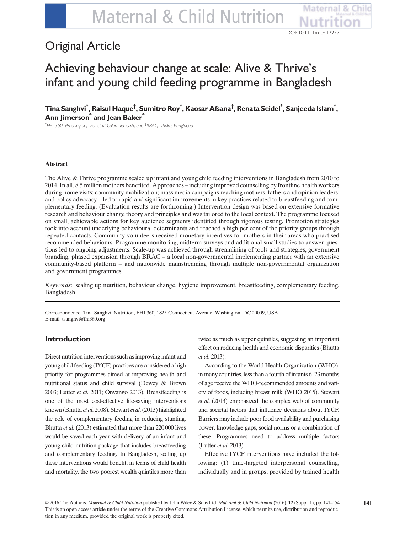# Original Article

# Achieving behaviour change at scale: Alive & Thrive's infant and young child feeding programme in Bangladesh

# $\bm{\mathsf{T}}$ ina Sanghvi $\bm{\mathsf{*}},$  Raisul Haque $\bm{\mathsf{*}},$  Sumitro Roy $\bm{\mathsf{*}},$  Kaosar Afsana $\bm{\mathsf{*}},$  Renata Seidel $\bm{\mathsf{*}},$  Sanjeeda Islam $\bm{\mathsf{*}},$ Ann Jimerson<sup>\*</sup> and Jean Baker<sup>\*</sup>

\* FHI 360, Washington, District of Columbia, USA, and † BRAC, Dhaka, Bangladesh

### Abstract

The Alive & Thrive programme scaled up infant and young child feeding interventions in Bangladesh from 2010 to 2014. In all, 8.5 million mothers benefited. Approaches – including improved counselling by frontline health workers during home visits; community mobilization; mass media campaigns reaching mothers, fathers and opinion leaders; and policy advocacy – led to rapid and significant improvements in key practices related to breastfeeding and complementary feeding. (Evaluation results are forthcoming.) Intervention design was based on extensive formative research and behaviour change theory and principles and was tailored to the local context. The programme focused on small, achievable actions for key audience segments identified through rigorous testing. Promotion strategies took into account underlying behavioural determinants and reached a high per cent of the priority groups through repeated contacts. Community volunteers received monetary incentives for mothers in their areas who practised recommended behaviours. Programme monitoring, midterm surveys and additional small studies to answer questions led to ongoing adjustments. Scale-up was achieved through streamlining of tools and strategies, government branding, phased expansion through BRAC – a local non-governmental implementing partner with an extensive community-based platform – and nationwide mainstreaming through multiple non-governmental organization and government programmes.

Keywords: scaling up nutrition, behaviour change, hygiene improvement, breastfeeding, complementary feeding, Bangladesh.

Correspondence: Tina Sanghvi, Nutrition, FHI 360, 1825 Connecticut Avenue, Washington, DC 20009, USA. E-mail: tsanghvi@fhi360.org

# Introduction

Direct nutrition interventions such as improving infant and young child feeding (IYCF) practices are considered a high priority for programmes aimed at improving health and nutritional status and child survival (Dewey & Brown 2003; Lutter et al. 2011; Onyango 2013). Breastfeeding is one of the most cost-effective life-saving interventions known (Bhutta et al. 2008). Stewart et al. (2013) highlighted the role of complementary feeding in reducing stunting. Bhutta et al. (2013) estimated that more than 220 000 lives would be saved each year with delivery of an infant and young child nutrition package that includes breastfeeding and complementary feeding. In Bangladesh, scaling up these interventions would benefit, in terms of child health and mortality, the two poorest wealth quintiles more than twice as much as upper quintiles, suggesting an important effect on reducing health and economic disparities (Bhutta et al. 2013).

According to the World Health Organization (WHO), in many countries, less than a fourth of infants 6–23months of age receive the WHO-recommended amounts and variety of foods, including breast milk (WHO 2015). Stewart et al. (2013) emphasized the complex web of community and societal factors that influence decisions about IYCF. Barriers may include poor food availability and purchasing power, knowledge gaps, social norms or a combination of these. Programmes need to address multiple factors (Lutter et al. 2013).

Effective IYCF interventions have included the following: (1) time-targeted interpersonal counselling, individually and in groups, provided by trained health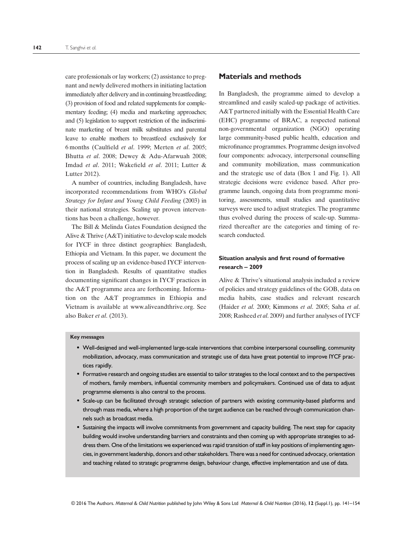care professionals or lay workers; (2) assistance to pregnant and newly delivered mothers in initiating lactation immediately after delivery and in continuing breastfeeding; (3) provision of food and related supplements for complementary feeding; (4) media and marketing approaches; and (5) legislation to support restriction of the indiscriminate marketing of breast milk substitutes and parental leave to enable mothers to breastfeed exclusively for 6 months (Caulfield et al. 1999; Merten et al. 2005; Bhutta et al. 2008; Dewey & Adu-Afarwuah 2008; Imdad et al. 2011; Wakefield et al. 2011; Lutter & Lutter 2012).

A number of countries, including Bangladesh, have incorporated recommendations from WHO's Global Strategy for Infant and Young Child Feeding (2003) in their national strategies. Scaling up proven interventions has been a challenge, however.

The Bill & Melinda Gates Foundation designed the Alive & Thrive (A&T) initiative to develop scale models for IYCF in three distinct geographies: Bangladesh, Ethiopia and Vietnam. In this paper, we document the process of scaling up an evidence-based IYCF intervention in Bangladesh. Results of quantitative studies documenting significant changes in IYCF practices in the A&T programme area are forthcoming. Information on the A&T programmes in Ethiopia and Vietnam is available at www.aliveandthrive.org. See also Baker et al. (2013).

### Materials and methods

In Bangladesh, the programme aimed to develop a streamlined and easily scaled-up package of activities. A&T partnered initially with the Essential Health Care (EHC) programme of BRAC, a respected national non-governmental organization (NGO) operating large community-based public health, education and microfinance programmes. Programme design involved four components: advocacy, interpersonal counselling and community mobilization, mass communication and the strategic use of data (Box 1 and Fig. 1). All strategic decisions were evidence based. After programme launch, ongoing data from programme monitoring, assessments, small studies and quantitative surveys were used to adjust strategies. The programme thus evolved during the process of scale-up. Summarized thereafter are the categories and timing of research conducted.

## Situation analysis and first round of formative research – 2009

Alive & Thrive's situational analysis included a review of policies and strategy guidelines of the GOB, data on media habits, case studies and relevant research (Haider et al. 2000; Kimmons et al. 2005; Saha et al. 2008; Rasheed et al. 2009) and further analyses of IYCF

### Key messages

- Well-designed and well-implemented large-scale interventions that combine interpersonal counselling, community mobilization, advocacy, mass communication and strategic use of data have great potential to improve IYCF practices rapidly.
- Formative research and ongoing studies are essential to tailor strategies to the local context and to the perspectives of mothers, family members, influential community members and policymakers. Continued use of data to adjust programme elements is also central to the process.
- Scale-up can be facilitated through strategic selection of partners with existing community-based platforms and through mass media, where a high proportion of the target audience can be reached through communication channels such as broadcast media.
- Sustaining the impacts will involve commitments from government and capacity building. The next step for capacity building would involve understanding barriers and constraints and then coming up with appropriate strategies to address them. One of the limitations we experienced was rapid transition of staff in key positions of implementing agencies, in government leadership, donors and other stakeholders. There was a need for continued advocacy, orientation and teaching related to strategic programme design, behaviour change, effective implementation and use of data.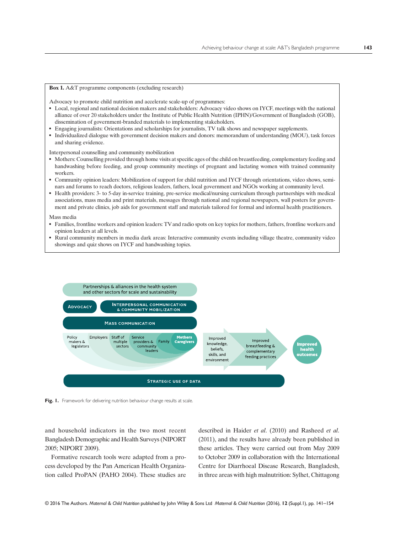Box 1. A&T programme components (excluding research)

Advocacy to promote child nutrition and accelerate scale-up of programmes:

- Local, regional and national decision makers and stakeholders: Advocacy video shows on IYCF, meetings with the national alliance of over 20 stakeholders under the Institute of Public Health Nutrition (IPHN)/Government of Bangladesh (GOB), dissemination of government-branded materials to implementing stakeholders.
- Engaging journalists: Orientations and scholarships for journalists, TV talk shows and newspaper supplements.
- Individualized dialogue with government decision makers and donors: memorandum of understanding (MOU), task forces and sharing evidence.

Interpersonal counselling and community mobilization

- Mothers: Counselling provided through home visits at specific ages of the child on breastfeeding, complementary feeding and handwashing before feeding, and group community meetings of pregnant and lactating women with trained community workers.
- Community opinion leaders: Mobilization of support for child nutrition and IYCF through orientations, video shows, seminars and forums to reach doctors, religious leaders, fathers, local government and NGOs working at community level.
- Health providers: 3- to 5-day in-service training, pre-service medical/nursing curriculum through partnerships with medical associations, mass media and print materials, messages through national and regional newspapers, wall posters for government and private clinics, job aids for government staff and materials tailored for formal and informal health practitioners.

Mass media

- Families, frontline workers and opinion leaders: TVand radio spots on key topics for mothers, fathers, frontline workers and opinion leaders at all levels.
- Rural community members in media dark areas: Interactive community events including village theatre, community video showings and quiz shows on IYCF and handwashing topics.



Fig. 1. Framework for delivering nutrition behaviour change results at scale.

and household indicators in the two most recent Bangladesh Demographic and Health Surveys (NIPORT 2005; NIPORT 2009).

Formative research tools were adapted from a process developed by the Pan American Health Organization called ProPAN (PAHO 2004). These studies are described in Haider et al. (2010) and Rasheed et al. (2011), and the results have already been published in these articles. They were carried out from May 2009 to October 2009 in collaboration with the International Centre for Diarrhoeal Disease Research, Bangladesh, in three areas with high malnutrition: Sylhet, Chittagong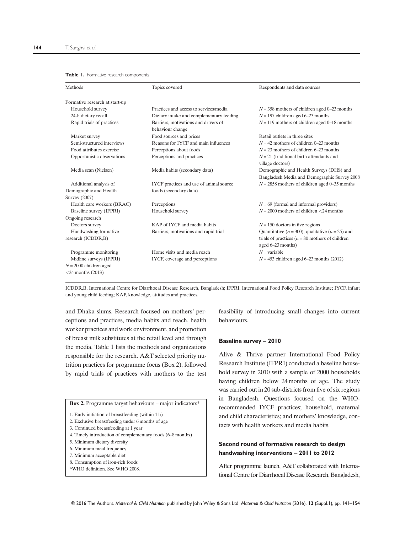|  |  |  | Table I. Formative research components |
|--|--|--|----------------------------------------|
|--|--|--|----------------------------------------|

| Methods                        | Topics covered                                           | Respondents and data sources                                                             |
|--------------------------------|----------------------------------------------------------|------------------------------------------------------------------------------------------|
| Formative research at start-up |                                                          |                                                                                          |
| Household survey               | Practices and access to services/media                   | $N = 358$ mothers of children aged 0–23 months                                           |
| 24-h dietary recall            | Dietary intake and complementary feeding                 | $N = 197$ children aged 6-23 months                                                      |
| Rapid trials of practices      | Barriers, motivations and drivers of<br>behaviour change | $N = 119$ mothers of children aged 0–18 months                                           |
| Market survey                  | Food sources and prices                                  | Retail outlets in three sites                                                            |
| Semi-structured interviews     | Reasons for IYCF and main influences                     | $N = 42$ mothers of children 0–23 months                                                 |
| Food attributes exercise       | Perceptions about foods                                  | $N = 23$ mothers of children 6–23 months                                                 |
| Opportunistic observations     | Perceptions and practices                                | $N = 21$ (traditional birth attendants and<br>village doctors)                           |
| Media scan (Nielsen)           | Media habits (secondary data)                            | Demographic and Health Surveys (DHS) and<br>Bangladesh Media and Demographic Survey 2008 |
| Additional analysis of         | IYCF practices and use of animal source                  | $N = 2858$ mothers of children aged 0–35 months                                          |
| Demographic and Health         | foods (secondary data)                                   |                                                                                          |
| Survey (2007)                  |                                                          |                                                                                          |
| Health care workers (BRAC)     | Perceptions                                              | $N = 69$ (formal and informal providers)                                                 |
| Baseline survey (IFPRI)        | Household survey                                         | $N = 2000$ mothers of children <24 months                                                |
| Ongoing research               |                                                          |                                                                                          |
| Doctors survey                 | KAP of IYCF and media habits                             | $N = 150$ doctors in five regions                                                        |
| Handwashing formative          | Barriers, motivations and rapid trial                    | Quantitative ( $n = 300$ ), qualitative ( $n = 25$ ) and                                 |
| research (ICDDR,B)             |                                                          | trials of practices ( $n = 80$ mothers of children<br>aged 6-23 months)                  |
| Programme monitoring           | Home visits and media reach                              | $N =$ variable                                                                           |
| Midline surveys (IFPRI)        | IYCF, coverage and perceptions                           | $N = 453$ children aged 6–23 months (2012)                                               |
| $N = 2000$ children aged       |                                                          |                                                                                          |
| $<$ 24 months (2013)           |                                                          |                                                                                          |

ICDDR,B, International Centre for Diarrhoeal Disease Research, Bangladesh; IFPRI, International Food Policy Research Institute; IYCF, infant and young child feeding; KAP, knowledge, attitudes and practices.

and Dhaka slums. Research focused on mothers' perceptions and practices, media habits and reach, health worker practices and work environment, and promotion of breast milk substitutes at the retail level and through the media. Table 1 lists the methods and organizations responsible for the research. A&T selected priority nutrition practices for programme focus (Box 2), followed by rapid trials of practices with mothers to the test

Box 2. Programme target behaviours – major indicators\*

- 1. Early initiation of breastfeeding (within 1 h)
- 2. Exclusive breastfeeding under 6 months of age
- 3. Continued breastfeeding at 1 year
- 4. Timely introduction of complementary foods (6–8 months)
- 5. Minimum dietary diversity
- 6. Minimum meal frequency
- 7. Minimum acceptable diet
- 8. Consumption of iron-rich foods
- \*WHO definition. See WHO 2008.

feasibility of introducing small changes into current behaviours.

### Baseline survey – 2010

Alive & Thrive partner International Food Policy Research Institute (IFPRI) conducted a baseline household survey in 2010 with a sample of 2000 households having children below 24 months of age. The study was carried out in 20 sub-districts from five of six regions in Bangladesh. Questions focused on the WHOrecommended IYCF practices; household, maternal and child characteristics; and mothers' knowledge, contacts with health workers and media habits.

# Second round of formative research to design handwashing interventions – 2011 to 2012

After programme launch, A&T collaborated with International Centre for Diarrhoeal Disease Research, Bangladesh,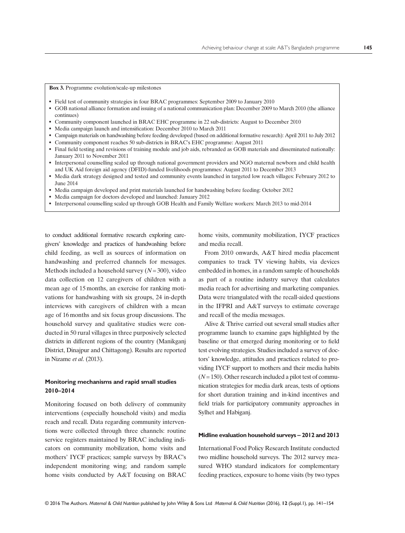Box 3. Programme evolution/scale-up milestones

- Field test of community strategies in four BRAC programmes: September 2009 to January 2010
- GOB national alliance formation and issuing of a national communication plan: December 2009 to March 2010 (the alliance continues)
- Community component launched in BRAC EHC programme in 22 sub-districts: August to December 2010
- Media campaign launch and intensification: December 2010 to March 2011
- Campaign materials on handwashing before feeding developed (based on additional formative research): April 2011 to July 2012
- Community component reaches 50 sub-districts in BRAC's EHC programme: August 2011
- Final field testing and revisions of training module and job aids, rebranded as GOB materials and disseminated nationally: January 2011 to November 2011
- Interpersonal counselling scaled up through national government providers and NGO maternal newborn and child health and UK Aid foreign aid agency (DFID)-funded livelihoods programmes: August 2011 to December 2013
- Media dark strategy designed and tested and community events launched in targeted low reach villages: February 2012 to June 2014
- Media campaign developed and print materials launched for handwashing before feeding: October 2012
- Media campaign for doctors developed and launched: January 2012
- Interpersonal counselling scaled up through GOB Health and Family Welfare workers: March 2013 to mid-2014

to conduct additional formative research exploring caregivers' knowledge and practices of handwashing before child feeding, as well as sources of information on handwashing and preferred channels for messages. Methods included a household survey  $(N = 300)$ , video data collection on 12 caregivers of children with a mean age of 15 months, an exercise for ranking motivations for handwashing with six groups, 24 in-depth interviews with caregivers of children with a mean age of 16 months and six focus group discussions. The household survey and qualitative studies were conducted in 50 rural villages in three purposively selected districts in different regions of the country (Manikganj District, Dinajpur and Chittagong). Results are reported in Nizame et al. (2013).

# Monitoring mechanisms and rapid small studies 2010–2014

Monitoring focused on both delivery of community interventions (especially household visits) and media reach and recall. Data regarding community interventions were collected through three channels: routine service registers maintained by BRAC including indicators on community mobilization, home visits and mothers' IYCF practices; sample surveys by BRAC's independent monitoring wing; and random sample home visits conducted by A&T focusing on BRAC

home visits, community mobilization, IYCF practices and media recall.

From 2010 onwards, A&T hired media placement companies to track TV viewing habits, via devices embedded in homes, in a random sample of households as part of a routine industry survey that calculates media reach for advertising and marketing companies. Data were triangulated with the recall-aided questions in the IFPRI and A&T surveys to estimate coverage and recall of the media messages.

Alive & Thrive carried out several small studies after programme launch to examine gaps highlighted by the baseline or that emerged during monitoring or to field test evolving strategies. Studies included a survey of doctors' knowledge, attitudes and practices related to providing IYCF support to mothers and their media habits  $(N= 150)$ . Other research included a pilot test of communication strategies for media dark areas, tests of options for short duration training and in-kind incentives and field trials for participatory community approaches in Sylhet and Habiganj.

### Midline evaluation household surveys – 2012 and 2013

International Food Policy Research Institute conducted two midline household surveys. The 2012 survey measured WHO standard indicators for complementary feeding practices, exposure to home visits (by two types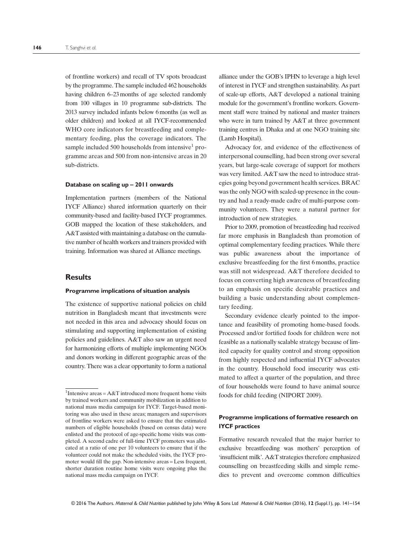of frontline workers) and recall of TV spots broadcast by the programme. The sample included 462 households having children 6–23months of age selected randomly from 100 villages in 10 programme sub-districts. The 2013 survey included infants below 6months (as well as older children) and looked at all IYCF-recommended WHO core indicators for breastfeeding and complementary feeding, plus the coverage indicators. The sample included 500 households from intensive<sup>1</sup> programme areas and 500 from non-intensive areas in 20 sub-districts.

### Database on scaling up – 2011 onwards

Implementation partners (members of the National IYCF Alliance) shared information quarterly on their community-based and facility-based IYCF programmes. GOB mapped the location of these stakeholders, and A&T assisted with maintaining a database on the cumulative number of health workers and trainers provided with training. Information was shared at Alliance meetings.

# **Results**

### Programme implications of situation analysis

The existence of supportive national policies on child nutrition in Bangladesh meant that investments were not needed in this area and advocacy should focus on stimulating and supporting implementation of existing policies and guidelines. A&T also saw an urgent need for harmonizing efforts of multiple implementing NGOs and donors working in different geographic areas of the country. There was a clear opportunity to form a national

alliance under the GOB's IPHN to leverage a high level of interest in IYCF and strengthen sustainability. As part of scale-up efforts, A&T developed a national training module for the government's frontline workers. Government staff were trained by national and master trainers who were in turn trained by A&T at three government training centres in Dhaka and at one NGO training site (Lamb Hospital).

Advocacy for, and evidence of the effectiveness of interpersonal counselling, had been strong over several years, but large-scale coverage of support for mothers was very limited. A&T saw the need to introduce strategies going beyond government health services. BRAC was the only NGO with scaled-up presence in the country and had a ready-made cadre of multi-purpose community volunteers. They were a natural partner for introduction of new strategies.

Prior to 2009, promotion of breastfeeding had received far more emphasis in Bangladesh than promotion of optimal complementary feeding practices. While there was public awareness about the importance of exclusive breastfeeding for the first 6 months, practice was still not widespread. A&T therefore decided to focus on converting high awareness of breastfeeding to an emphasis on specific desirable practices and building a basic understanding about complementary feeding.

Secondary evidence clearly pointed to the importance and feasibility of promoting home-based foods. Processed and/or fortified foods for children were not feasible as a nationally scalable strategy because of limited capacity for quality control and strong opposition from highly respected and influential IYCF advocates in the country. Household food insecurity was estimated to affect a quarter of the population, and three of four households were found to have animal source foods for child feeding (NIPORT 2009).

# Programme implications of formative research on IYCF practices

Formative research revealed that the major barrier to exclusive breastfeeding was mothers' perception of 'insufficient milk'. A&T strategies therefore emphasized counselling on breastfeeding skills and simple remedies to prevent and overcome common difficulties

<sup>&</sup>lt;sup>1</sup>Intensive areas =  $A&T$  introduced more frequent home visits by trained workers and community mobilization in addition to national mass media campaign for IYCF. Target-based monitoring was also used in these areas; managers and supervisors of frontline workers were asked to ensure that the estimated numbers of eligible households (based on census data) were enlisted and the protocol of age-specific home visits was completed. A second cadre of full-time IYCF promoters was allocated at a ratio of one per 10 volunteers to ensure that if the volunteer could not make the scheduled visits, the IYCF promoter would fill the gap. Non-intensive areas = Less frequent, shorter duration routine home visits were ongoing plus the national mass media campaign on IYCF.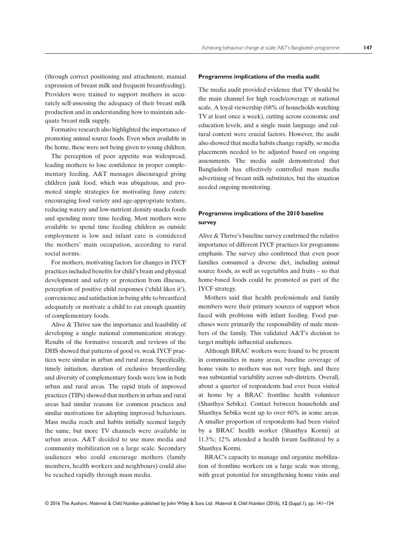(through correct positioning and attachment, manual expression of breast milk and frequent breastfeeding). Providers were trained to support mothers in accurately self-assessing the adequacy of their breast milk production and in understanding how to maintain adequate breast milk supply.

Formative research also highlighted the importance of promoting animal source foods. Even when available in the home, these were not being given to young children.

The perception of poor appetite was widespread, leading mothers to lose confidence in proper complementary feeding. A&T messages discouraged giving children junk food, which was ubiquitous, and promoted simple strategies for motivating fussy eaters: encouraging food variety and age-appropriate texture, reducing watery and low-nutrient density snacks foods and spending more time feeding. Most mothers were available to spend time feeding children as outside employment is low and infant care is considered the mothers' main occupation, according to rural social norms.

For mothers, motivating factors for changes in IYCF practices included benefits for child's brain and physical development and safety or protection from illnesses, perception of positive child responses ('child likes it'), convenience and satisfaction in being able to breastfeed adequately or motivate a child to eat enough quantity of complementary foods.

Alive & Thrive saw the importance and feasibility of developing a single national communication strategy. Results of the formative research and reviews of the DHS showed that patterns of good vs. weak IYCF practices were similar in urban and rural areas. Specifically, timely initiation, duration of exclusive breastfeeding and diversity of complementary foods were low in both urban and rural areas. The rapid trials of improved practices (TIPs) showed that mothers in urban and rural areas had similar reasons for common practices and similar motivations for adopting improved behaviours. Mass media reach and habits initially seemed largely the same, but more TV channels were available in urban areas. A&T decided to use mass media and community mobilization on a large scale. Secondary audiences who could encourage mothers (family members, health workers and neighbours) could also be reached rapidly through mass media.

### Programme implications of the media audit

The media audit provided evidence that TV should be the main channel for high reach/coverage at national scale. A loyal viewership (68% of households watching TV at least once a week), cutting across economic and education levels, and a single main language and cultural context were crucial factors. However, the audit also showed that media habits change rapidly, so media placements needed to be adjusted based on ongoing assessments. The media audit demonstrated that Bangladesh has effectively controlled mass media advertising of breast milk substitutes, but the situation needed ongoing monitoring.

# Programme implications of the 2010 baseline survey

Alive & Thrive's baseline survey confirmed the relative importance of different IYCF practices for programme emphasis. The survey also confirmed that even poor families consumed a diverse diet, including animal source foods, as well as vegetables and fruits – so that home-based foods could be promoted as part of the IYCF strategy.

Mothers said that health professionals and family members were their primary sources of support when faced with problems with infant feeding. Food purchases were primarily the responsibility of male members of the family. This validated A&T's decision to target multiple influential audiences.

Although BRAC workers were found to be present in communities in many areas, baseline coverage of home visits to mothers was not very high, and there was substantial variability across sub-districts. Overall, about a quarter of respondents had ever been visited at home by a BRAC frontline health volunteer (Shasthya Sebika). Contact between households and Shasthya Sebika went up to over 60% in some areas. A smaller proportion of respondents had been visited by a BRAC health worker (Shasthya Kormi) at 11.3%; 12% attended a health forum facilitated by a Shasthya Kormi.

BRAC's capacity to manage and organize mobilization of frontline workers on a large scale was strong, with great potential for strengthening home visits and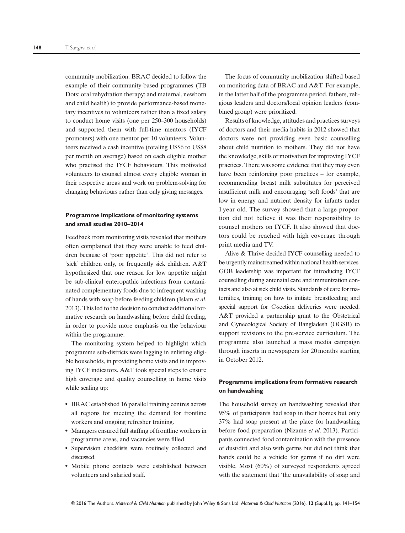community mobilization. BRAC decided to follow the example of their community-based programmes (TB Dots; oral rehydration therapy; and maternal, newborn and child health) to provide performance-based monetary incentives to volunteers rather than a fixed salary to conduct home visits (one per 250–300 households) and supported them with full-time mentors (IYCF promoters) with one mentor per 10 volunteers. Volunteers received a cash incentive (totaling US\$6 to US\$8 per month on average) based on each eligible mother who practised the IYCF behaviours. This motivated volunteers to counsel almost every eligible woman in their respective areas and work on problem-solving for changing behaviours rather than only giving messages.

# Programme implications of monitoring systems and small studies 2010–2014

Feedback from monitoring visits revealed that mothers often complained that they were unable to feed children because of 'poor appetite'. This did not refer to 'sick' children only, or frequently sick children. A&T hypothesized that one reason for low appetite might be sub-clinical enteropathic infections from contaminated complementary foods due to infrequent washing of hands with soap before feeding children (Islam et al. 2013). This led to the decision to conduct additional formative research on handwashing before child feeding, in order to provide more emphasis on the behaviour within the programme.

The monitoring system helped to highlight which programme sub-districts were lagging in enlisting eligible households, in providing home visits and in improving IYCF indicators. A&T took special steps to ensure high coverage and quality counselling in home visits while scaling up:

- BRAC established 16 parallel training centres across all regions for meeting the demand for frontline workers and ongoing refresher training.
- Managers ensured full staffing of frontline workers in programme areas, and vacancies were filled.
- Supervision checklists were routinely collected and discussed.
- Mobile phone contacts were established between volunteers and salaried staff.

The focus of community mobilization shifted based on monitoring data of BRAC and A&T. For example, in the latter half of the programme period, fathers, religious leaders and doctors/local opinion leaders (combined group) were prioritized.

Results of knowledge, attitudes and practices surveys of doctors and their media habits in 2012 showed that doctors were not providing even basic counselling about child nutrition to mothers. They did not have the knowledge, skills or motivation for improving IYCF practices. There was some evidence that they may even have been reinforcing poor practices – for example, recommending breast milk substitutes for perceived insufficient milk and encouraging 'soft foods' that are low in energy and nutrient density for infants under 1 year old. The survey showed that a large proportion did not believe it was their responsibility to counsel mothers on IYCF. It also showed that doctors could be reached with high coverage through print media and TV.

Alive & Thrive decided IYCF counselling needed to be urgently mainstreamed within national health services. GOB leadership was important for introducing IYCF counselling during antenatal care and immunization contacts and also at sick child visits. Standards of care for maternities, training on how to initiate breastfeeding and special support for C-section deliveries were needed. A&T provided a partnership grant to the Obstetrical and Gynecological Society of Bangladesh (OGSB) to support revisions to the pre-service curriculum. The programme also launched a mass media campaign through inserts in newspapers for 20 months starting in October 2012.

# Programme implications from formative research on handwashing

The household survey on handwashing revealed that 95% of participants had soap in their homes but only 37% had soap present at the place for handwashing before food preparation (Nizame et al. 2013). Participants connected food contamination with the presence of dust/dirt and also with germs but did not think that hands could be a vehicle for germs if no dirt were visible. Most (60%) of surveyed respondents agreed with the statement that 'the unavailability of soap and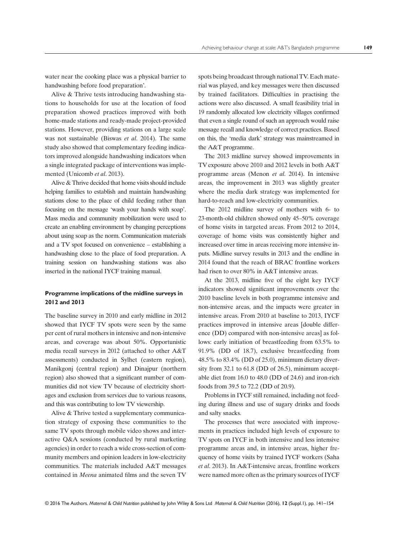water near the cooking place was a physical barrier to handwashing before food preparation'.

Alive & Thrive tests introducing handwashing stations to households for use at the location of food preparation showed practices improved with both home-made stations and ready-made project-provided stations. However, providing stations on a large scale was not sustainable (Biswas et al. 2014). The same study also showed that complementary feeding indicators improved alongside handwashing indicators when a single integrated package of interventions was implemented (Unicomb et al. 2013).

Alive & Thrive decided that home visits should include helping families to establish and maintain handwashing stations close to the place of child feeding rather than focusing on the message 'wash your hands with soap'. Mass media and community mobilization were used to create an enabling environment by changing perceptions about using soap as the norm. Communication materials and a TV spot focused on convenience – establishing a handwashing close to the place of food preparation. A training session on handwashing stations was also inserted in the national IYCF training manual.

# Programme implications of the midline surveys in 2012 and 2013

The baseline survey in 2010 and early midline in 2012 showed that IYCF TV spots were seen by the same per cent of rural mothers in intensive and non-intensive areas, and coverage was about 50%. Opportunistic media recall surveys in 2012 (attached to other A&T assessments) conducted in Sylhet (eastern region), Manikgonj (central region) and Dinajpur (northern region) also showed that a significant number of communities did not view TV because of electricity shortages and exclusion from services due to various reasons, and this was contributing to low TV viewership.

Alive & Thrive tested a supplementary communication strategy of exposing these communities to the same TV spots through mobile video shows and interactive Q&A sessions (conducted by rural marketing agencies) in order to reach a wide cross-section of community members and opinion leaders in low-electricity communities. The materials included A&T messages contained in Meena animated films and the seven TV spots being broadcast through national TV. Each material was played, and key messages were then discussed by trained facilitators. Difficulties in practising the actions were also discussed. A small feasibility trial in 19 randomly allocated low electricity villages confirmed that even a single round of such an approach would raise message recall and knowledge of correct practices. Based on this, the 'media dark' strategy was mainstreamed in the A&T programme.

The 2013 midline survey showed improvements in TV exposure above 2010 and 2012 levels in both A&T programme areas (Menon et al. 2014). In intensive areas, the improvement in 2013 was slightly greater where the media dark strategy was implemented for hard-to-reach and low-electricity communities.

The 2012 midline survey of mothers with 6- to 23-month-old children showed only 45–50% coverage of home visits in targeted areas. From 2012 to 2014, coverage of home visits was consistently higher and increased over time in areas receiving more intensive inputs. Midline survey results in 2013 and the endline in 2014 found that the reach of BRAC frontline workers had risen to over 80% in A&T intensive areas.

At the 2013, midline five of the eight key IYCF indicators showed significant improvements over the 2010 baseline levels in both programme intensive and non-intensive areas, and the impacts were greater in intensive areas. From 2010 at baseline to 2013, IYCF practices improved in intensive areas [double difference (DD) compared with non-intensive areas] as follows: early initiation of breastfeeding from 63.5% to 91.9% (DD of 18.7), exclusive breastfeeding from 48.5% to 83.4% (DD of 25.0), minimum dietary diversity from 32.1 to 61.8 (DD of 26.5), minimum acceptable diet from 16.0 to 48.0 (DD of 24.6) and iron-rich foods from 39.5 to 72.2 (DD of 20.9).

Problems in IYCF still remained, including not feeding during illness and use of sugary drinks and foods and salty snacks.

The processes that were associated with improvements in practices included high levels of exposure to TV spots on IYCF in both intensive and less intensive programme areas and, in intensive areas, higher frequency of home visits by trained IYCF workers (Saha et al. 2013). In A&T-intensive areas, frontline workers were named more often as the primary sources of IYCF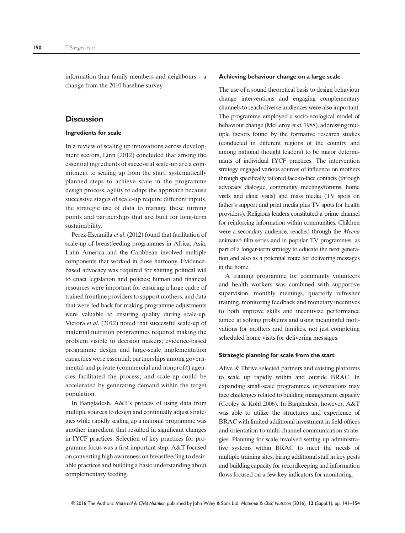information than family members and neighbours – a change from the 2010 baseline survey.

# **Discussion**

### Ingredients for scale

In a review of scaling up innovations across development sectors, Linn (2012) concluded that among the essential ingredients of successful scale-up are a commitment to scaling up from the start, systematically planned steps to achieve scale in the programme design process, agility to adapt the approach because successive stages of scale-up require different inputs, the strategic use of data to manage these turning points and partnerships that are built for long-term sustainability.

Perez-Escamilla et al. (2012) found that facilitation of scale-up of breastfeeding programmes in Africa, Asia, Latin America and the Caribbean involved multiple components that worked in close harmony. Evidencebased advocacy was required for shifting political will to enact legislation and policies; human and financial resources were important for ensuring a large cadre of trained frontline providers to support mothers, and data that were fed back for making programme adjustments were valuable to ensuring quality during scale-up. Victora et al. (2012) noted that successful scale-up of maternal nutrition programmes required making the problem visible to decision makers; evidence-based programme design and large-scale implementation capacities were essential; partnerships among governmental and private (commercial and nonprofit) agencies facilitated the process; and scale-up could be accelerated by generating demand within the target population.

In Bangladesh, A&T's process of using data from multiple sources to design and continually adjust strategies while rapidly scaling up a national programme was another ingredient that resulted in significant changes in IYCF practices. Selection of key practices for programme focus was a first important step. A&T focused on converting high awareness on breastfeeding to desirable practices and building a basic understanding about complementary feeding.

### Achieving behaviour change on a large scale

The use of a sound theoretical basis to design behaviour change interventions and engaging complementary channels to reach diverse audiences were also important. The programme employed a socio-ecological model of behaviour change (McLeroy et al. 1988), addressing multiple factors found by the formative research studies (conducted in different regions of the country and among national thought leaders) to be major determinants of individual IYCF practices. The intervention strategy engaged various sources of influence on mothers through specifically tailored face-to-face contacts (through advocacy dialogue, community meetings/forums, home visits and clinic visits) and mass media (TV spots on father's support and print media plus TV spots for health providers). Religious leaders constituted a prime channel for reinforcing information within communities. Children were a secondary audience, reached through the Meena animated film series and in popular TV programmes, as part of a longer-term strategy to educate the next generation and also as a potential route for delivering messages in the home.

A training programme for community volunteers and health workers was combined with supportive supervision, monthly meetings, quarterly refresher training, monitoring feedback and monetary incentives to both improve skills and incentivize performance aimed at solving problems and using meaningful motivations for mothers and families, not just completing scheduled home visits for delivering messages.

## Strategic planning for scale from the start

Alive & Thrive selected partners and existing platforms to scale up rapidly within and outside BRAC. In expanding small-scale programmes, organizations may face challenges related to building management capacity (Cooley & Kohl 2006). In Bangladesh, however, A&T was able to utilize the structures and experience of BRAC with limited additional investment in field offices and orientation to multi-channel communication strategies. Planning for scale involved setting up administrative systems within BRAC to meet the needs of multiple training sites, hiring additional staff in key posts and building capacity for recordkeeping and information flows focused on a few key indicators for monitoring.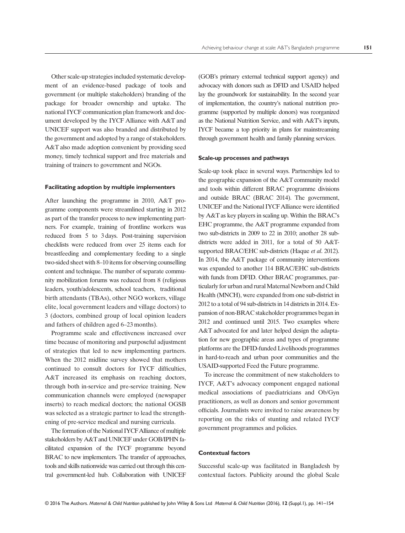Other scale-up strategies included systematic development of an evidence-based package of tools and government (or multiple stakeholders) branding of the package for broader ownership and uptake. The national IYCF communication plan framework and document developed by the IYCF Alliance with A&T and UNICEF support was also branded and distributed by the government and adopted by a range of stakeholders. A&T also made adoption convenient by providing seed money, timely technical support and free materials and training of trainers to government and NGOs.

### Facilitating adoption by multiple implementers

After launching the programme in 2010, A&T programme components were streamlined starting in 2012 as part of the transfer process to new implementing partners. For example, training of frontline workers was reduced from 5 to 3 days. Post-training supervision checklists were reduced from over 25 items each for breastfeeding and complementary feeding to a single two-sided sheet with 8–10 items for observing counselling content and technique. The number of separate community mobilization forums was reduced from 8 (religious leaders, youth/adolescents, school teachers, traditional birth attendants (TBAs), other NGO workers, village elite, local government leaders and village doctors) to 3 (doctors, combined group of local opinion leaders and fathers of children aged 6–23 months).

Programme scale and effectiveness increased over time because of monitoring and purposeful adjustment of strategies that led to new implementing partners. When the 2012 midline survey showed that mothers continued to consult doctors for IYCF difficulties, A&T increased its emphasis on reaching doctors, through both in-service and pre-service training. New communication channels were employed (newspaper inserts) to reach medical doctors; the national OGSB was selected as a strategic partner to lead the strengthening of pre-service medical and nursing curricula.

The formation of the National IYCFAlliance of multiple stakeholders by A&T and UNICEF under GOB/IPHN facilitated expansion of the IYCF programme beyond BRAC to new implementers. The transfer of approaches, tools and skills nationwide was carried out through this central government-led hub. Collaboration with UNICEF (GOB's primary external technical support agency) and advocacy with donors such as DFID and USAID helped lay the groundwork for sustainability. In the second year of implementation, the country's national nutrition programme (supported by multiple donors) was reorganized as the National Nutrition Service, and with A&T's inputs, IYCF became a top priority in plans for mainstreaming through government health and family planning services.

### Scale-up processes and pathways

Scale-up took place in several ways. Partnerships led to the geographic expansion of the A&T community model and tools within different BRAC programme divisions and outside BRAC (BRAC 2014). The government, UNICEF and the National IYCFAlliance were identified by A&T as key players in scaling up. Within the BRAC's EHC programme, the A&T programme expanded from two sub-districts in 2009 to 22 in 2010; another 28 subdistricts were added in 2011, for a total of 50 A&Tsupported BRAC/EHC sub-districts (Haque et al. 2012). In 2014, the A&T package of community interventions was expanded to another 114 BRAC/EHC sub-districts with funds from DFID. Other BRAC programmes, particularly for urban and rural Maternal Newborn and Child Health (MNCH), were expanded from one sub-district in 2012 to a total of 94 sub-districts in 14 districts in 2014. Expansion of non-BRAC stakeholder programmes began in 2012 and continued until 2015. Two examples where A&T advocated for and later helped design the adaptation for new geographic areas and types of programme platforms are the DFID-funded Livelihoods programmes in hard-to-reach and urban poor communities and the USAID-supported Feed the Future programme.

To increase the commitment of new stakeholders to IYCF, A&T's advocacy component engaged national medical associations of paediatricians and Ob/Gyn practitioners, as well as donors and senior government officials. Journalists were invited to raise awareness by reporting on the risks of stunting and related IYCF government programmes and policies.

### Contextual factors

Successful scale-up was facilitated in Bangladesh by contextual factors. Publicity around the global Scale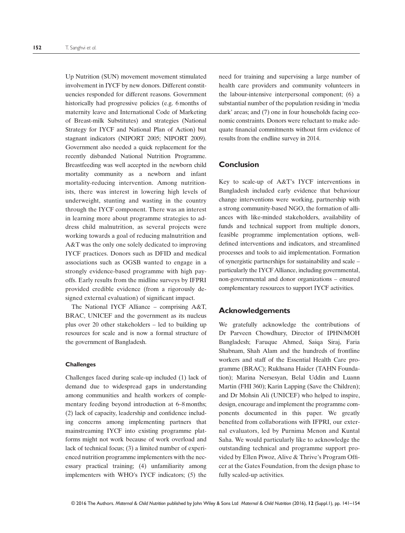Up Nutrition (SUN) movement movement stimulated involvement in IYCF by new donors. Different constituencies responded for different reasons. Government historically had progressive policies (e.g. 6 months of maternity leave and International Code of Marketing of Breast-milk Substitutes) and strategies (National Strategy for IYCF and National Plan of Action) but stagnant indicators (NIPORT 2005; NIPORT 2009). Government also needed a quick replacement for the recently disbanded National Nutrition Programme. Breastfeeding was well accepted in the newborn child mortality community as a newborn and infant mortality-reducing intervention. Among nutritionists, there was interest in lowering high levels of underweight, stunting and wasting in the country through the IYCF component. There was an interest in learning more about programme strategies to address child malnutrition, as several projects were working towards a goal of reducing malnutrition and A&T was the only one solely dedicated to improving IYCF practices. Donors such as DFID and medical associations such as OGSB wanted to engage in a strongly evidence-based programme with high payoffs. Early results from the midline surveys by IFPRI provided credible evidence (from a rigorously designed external evaluation) of significant impact.

The National IYCF Alliance – comprising A&T, BRAC, UNICEF and the government as its nucleus plus over 20 other stakeholders – led to building up resources for scale and is now a formal structure of the government of Bangladesh.

### **Challenges**

Challenges faced during scale-up included (1) lack of demand due to widespread gaps in understanding among communities and health workers of complementary feeding beyond introduction at 6–8 months; (2) lack of capacity, leadership and confidence including concerns among implementing partners that mainstreaming IYCF into existing programme platforms might not work because of work overload and lack of technical focus; (3) a limited number of experienced nutrition programme implementers with the necessary practical training; (4) unfamiliarity among implementers with WHO's IYCF indicators; (5) the

need for training and supervising a large number of health care providers and community volunteers in the labour-intensive interpersonal component; (6) a substantial number of the population residing in 'media dark' areas; and (7) one in four households facing economic constraints. Donors were reluctant to make adequate financial commitments without firm evidence of results from the endline survey in 2014.

## Conclusion

Key to scale-up of A&T's IYCF interventions in Bangladesh included early evidence that behaviour change interventions were working, partnership with a strong community-based NGO, the formation of alliances with like-minded stakeholders, availability of funds and technical support from multiple donors, feasible programme implementation options, welldefined interventions and indicators, and streamlined processes and tools to aid implementation. Formation of synergistic partnerships for sustainability and scale – particularly the IYCFAlliance, including governmental, non-governmental and donor organizations – ensured complementary resources to support IYCF activities.

# Acknowledgements

We gratefully acknowledge the contributions of Dr Parveen Chowdhury, Director of IPHN/MOH Bangladesh; Faruque Ahmed, Saiqa Siraj, Faria Shabnam, Shah Alam and the hundreds of frontline workers and staff of the Essential Health Care programme (BRAC); Rukhsana Haider (TAHN Foundation); Marina Nersesyan, Belal Uddin and Luann Martin (FHI 360); Karin Lapping (Save the Children); and Dr Mohsin Ali (UNICEF) who helped to inspire, design, encourage and implement the programme components documented in this paper. We greatly benefited from collaborations with IFPRI, our external evaluators, led by Purnima Menon and Kuntal Saha. We would particularly like to acknowledge the outstanding technical and programme support provided by Ellen Piwoz, Alive & Thrive's Program Officer at the Gates Foundation, from the design phase to fully scaled-up activities.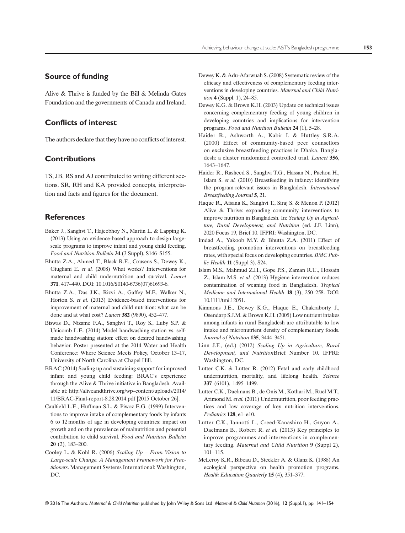# Source of funding

Alive & Thrive is funded by the Bill & Melinda Gates Foundation and the governments of Canada and Ireland.

# Conflicts of interest

The authors declare that they have no conflicts of interest.

# **Contributions**

TS, JB, RS and AJ contributed to writing different sections. SR, RH and KA provided concepts, interpretation and facts and figures for the document.

# References

- Baker J., Sanghvi T., Hajeebhoy N., Martin L. & Lapping K. (2013) Using an evidence-based approach to design largescale programs to improve infant and young child feeding. Food and Nutrition Bulletin 34 (3 Suppl), S146–S155.
- Bhutta Z.A., Ahmed T., Black R.E., Cousens S., Dewey K., Giugliani E. et al. (2008) What works? Interventions for maternal and child undernutrition and survival. Lancet 371, 417–440. DOI: 10.1016/S0140-6736(07)61693-6.
- Bhutta Z.A., Das J.K., Rizvi A., Gaffey M.F., Walker N., Horton S. et al. (2013) Evidence-based interventions for improvement of maternal and child nutrition: what can be done and at what cost? Lancet 382 (9890), 452–477.
- Biswas D., Nizame F.A., Sanghvi T., Roy S., Luby S.P. & Unicomb L.E. (2014) Model handwashing station vs. selfmade handwashing station: effect on desired handwashing behavior. Poster presented at the 2014 Water and Health Conference: Where Science Meets Policy, October 13–17, University of North Carolina at Chapel Hill.
- BRAC (2014) Scaling up and sustaining support for improved infant and young child feeding: BRAC's experience through the Alive & Thrive initiative in Bangladesh. Available at: http://aliveandthrive.org/wp–content/uploads/2014/ 11/BRAC-Final-report-8.28.2014.pdf [2015 October 26].
- Caulfield L.E., Huffman S.L. & Piwoz E.G. (1999) Interventions to improve intake of complementary foods by infants 6 to 12 months of age in developing countries: impact on growth and on the prevalence of malnutrition and potential contribution to child survival. Food and Nutrition Bulletin 20 (2), 183–200.
- Cooley L. & Kohl R. (2006) Scaling Up From Vision to Large-scale Change. A Management Framework for Practitioners. Management Systems International: Washington, DC.
- Dewey K. & Adu-Afarwuah S. (2008) Systematic review of the efficacy and effectiveness of complementary feeding interventions in developing countries. Maternal and Child Nutrition 4 (Suppl. 1), 24–85.
- Dewey K.G. & Brown K.H. (2003) Update on technical issues concerning complementary feeding of young children in developing countries and implications for intervention programs. Food and Nutrition Bulletin 24 (1), 5–28.
- Haider R., Ashworth A., Kabir I. & Huttley S.R.A. (2000) Effect of community-based peer counsellors on exclusive breastfeeding practices in Dhaka, Bangladesh: a cluster randomized controlled trial. Lancet 356, 1643–1647.
- Haider R., Rasheed S., Sanghvi T.G., Hassan N., Pachon H., Islam S. et al. (2010) Breastfeeding in infancy: identifying the program-relevant issues in Bangladesh. International Breastfeeding Journal 5, 21.
- Haque R., Afsana K., Sanghvi T., Siraj S. & Menon P. (2012) Alive & Thrive: expanding community interventions to improve nutrition in Bangladesh. In: Scaling Up in Agriculture, Rural Development, and Nutrition (ed. J.F. Linn), 2020 Focus 19, Brief 10. IFPRI: Washington, DC.
- Imdad A., Yakoob M.Y. & Bhutta Z.A. (2011) Effect of breastfeeding promotion interventions on breastfeeding rates, with special focus on developing countries. BMC Public Health 11 (Suppl 3), S24.
- Islam M.S., Mahmud Z.H., Gope P.S., Zaman R.U., Hossain Z., Islam M.S. et al. (2013) Hygiene intervention reduces contamination of weaning food in Bangladesh. Tropical Medicine and International Health 18 (3), 250–258. DOI: 10.1111/tmi.12051.
- Kimmons J.E., Dewey K.G., Haque E., Chakraborty J., Osendarp S.J.M. & Brown K.H. (2005) Low nutrient intakes among infants in rural Bangladesh are attributable to low intake and micronutrient density of complementary foods. Journal of Nutrition 135, 3444–3451.
- Linn J.F., (ed.) (2012) Scaling Up in Agriculture, Rural Development, and NutritionBrief Number 10. IFPRI: Washington, DC.
- Lutter C.K. & Lutter R. (2012) Fetal and early childhood undernutrition, mortality, and lifelong health. Science 337 (6101), 1495–1499.
- Lutter C.K., Daelmans B., de Onis M., Kothari M., Ruel M.T., Arimond M. et al. (2011) Undernutrition, poor feeding practices and low coverage of key nutrition interventions. Pediatrics 128, e1–e10.
- Lutter C.K., Iannotti L., Creed-Kanashiro H., Guyon A., Daelmans B., Robert R. et al. (2013) Key principles to improve programmes and interventions in complementary feeding. Maternal and Child Nutrition 9 (Suppl 2), 101–115.
- McLeroy K.R., Bibeau D., Steckler A. & Glanz K. (1988) An ecological perspective on health promotion programs. Health Education Quarterly 15 (4), 351-377.